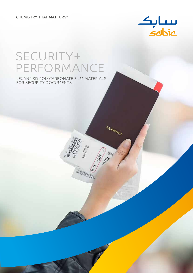**CHEMISTRY THAT MATTERS™** 



# SECURITY+ PERFORMANCE

#### LEXAN™ SD POLYCARBONATE FILM MATERIALS FOR SECURITY DOCUMENTS

PASSPORT

Co.

**CERTIFICATE** 

 $\sqrt{\frac{c}{c}}$ 

**That Lang by Kiran**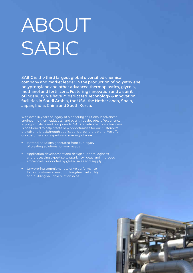# ABOUT SABIC

SABIC is the third largest global diversified chemical company and market leader in the production of polyethylene, polypropylene and other advanced thermoplastics, glycols, methanol and fertilizers. Fostering innovation and a spirit of ingenuity, we have 21 dedicated Technology & Innovation facilities in Saudi Arabia, the USA, the Netherlands, Spain, Japan, India, China and South Korea.

With over 70 years of legacy of pioneering solutions in advanced engineering thermoplastics, and over three decades of experience in polypropylene and compounds, SABIC's Petrochemicals business is positioned to help create new opportunities for our customer's growth and breakthrough applications around the world. We offer our customers our expertise in a variety of ways:

- Material solutions generated from our legacy of creating solutions for your needs
- Application development and design support, logistics and processing expertise to spark new ideas and improved efficiencies, supported by global sales and supply
- Unwavering commitment to drive performance for our customers, ensuring long-term reliability and building valuable relationships

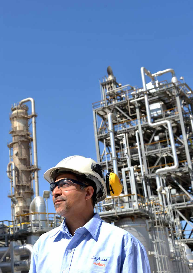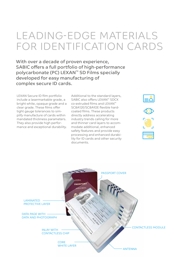# LEADING-EDGE MATERIALS FOR IDENTIFICATION CARDS

With over a decade of proven experience, SABIC offers a full portfolio of high-performance polycarbonate (PC) LEXAN™ SD Films specially developed for easy manufacturing of complex secure ID cards.

LEXAN Secure ID film portfolio include a lasermarkable grade, a bright white, opaque grade and a clear grade. These films offer tight gauge tolerances to simplify manufacture of cards within mandated thickness parameters. They also provide high performance and exceptional durability.

Additional to the standard layers, SABIC also offers LEXAN™ SDCX co-extruded films and LEXAN™ SC8A12E/SC8A92E flexible hardcoated films. These products directly address accelerating industry trends calling for more and thinner card layers to accommodate additional, enhanced safety features and provide easy processing and enhanced durability for ID cards and other security documents.





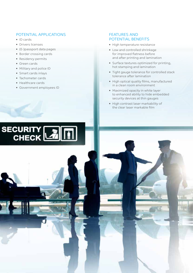### POTENTIAL APPLICATIONS

- ID cards
- Drivers licenses
- (E-)passport data pages
- Border crossing cards
- Residency permits
- Green cards
- Military and police ID Smart cards inlays
- 
- Tachometer cards
- 
- Healthcare cards Government employees ID

SECURITY **AIR** 

### FEATURES AND POTENTIAL BENEFITS

- High temperature resistance
- Low and controlled shrinkage for improved flatness before and after printing and lamination
- Surface textures optimized for printing, hot stamping and lamination
- Tight gauge tolerance for controlled stack tolerance after lamination
- High optical quality films, manufactured in a clean room environment
- Maximized opacity in white layer to enhanced ability to hide embedded security devices at thin gauges
- High contrast laser markability of the clear laser markable film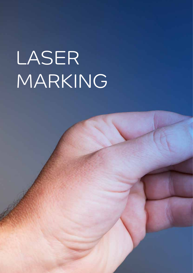# LASER MARKING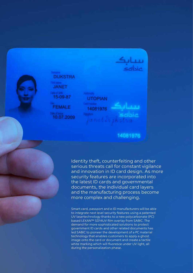

# 14081976

Identity theft, counterfeiting and other serious threats call for constant vigilance and innovation in ID card design. As more security features are incorporated into the latest ID cards and governmental documents, the individual card layers and the manufacturing process become more complex and challenging.

Smart card, passport and e-ID manufacturers will be able to integrate next level security features using a patented UV lasertechnology thanks to a new polycarbonate (PC) based LEXAN™ SD14UV film overlay from SABIC. The demand for more sophisticated solutions to protect government ID cards and other related documents has led SABIC to pioneer the development of a PC material technology that enables customers to apply a ghost image onto the card or document and create a tactile white marking which will fluoresce under UV light, all during the personalization phase.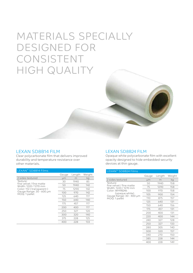# MATERIALS SPECIALLY DESIGNED FOR CONSISTENT HIGH QUALITY

## LEXAN SD8B14 FILM

Clear polycarbonate film that delivers improved durability and temperature resistance over other materials.

| LEXAN™ SD8B14 Films                               |       |        |        |
|---------------------------------------------------|-------|--------|--------|
|                                                   | Gauge | Length | Weight |
| 2 sides textured                                  | um    | m      | kg     |
| Texture:                                          | 30    | 1940   | 85     |
| fine velvet / fine matte<br>Width: 1220 / 1270 mm | 50    | 1940   | 142    |
| Color: 112 (transparent)                          | 75    | 1290   | 142    |
| Gauge Range: 30 - 600 µm<br>MOQ: 1 pallet         | 100   | 970    | 142    |
|                                                   | 125   | 640    | 117    |
|                                                   | 150   | 640    | 140    |
|                                                   | 175   | 457    | 117    |
|                                                   | 200   | 400    | 117    |
|                                                   | 250   | 327    | 120    |
|                                                   | 300   | 320    | 140    |
|                                                   | 375   | 228    | 125    |
|                                                   | 400   | 228    | 133    |
|                                                   |       |        |        |

### LEXAN SD8B24 FILM

Opaque white polycarbonate film with excellent opacity designed to hide embedded security devices at thin gauge.

#### LEXAN™ SD8B24 Films

|                                                   | Gauge | Length | Weight |
|---------------------------------------------------|-------|--------|--------|
| 2 sides textured                                  | μm    | m      | kg     |
| Texture:                                          | 50    | 1940   | 158    |
| fine velvet / fine matte<br>Width: 1220 / 1270 mm | 75    | 1290   | 158    |
| Color: WH9B246                                    | 100   | 970    | 158    |
| (opaque white)<br>Gauge Range: 30 - 400 µm        | 105   | 900    | 154    |
| MOQ: 1 pallet                                     | 110   | 875    | 157    |
|                                                   | 125   | 640    | 131    |
|                                                   | 150   | 640    | 156    |
|                                                   | 175   | 457    | 131    |
|                                                   | 200   | 400    | 131    |
|                                                   | 220   | 400    | 144    |
|                                                   | 240   | 327    | 128    |
|                                                   | 250   | 327    | 133    |
|                                                   | 280   | 305    | 140    |
|                                                   | 300   | 320    | 157    |
|                                                   | 340   | 270    | 150    |
|                                                   | 385   | 228    | 144    |
|                                                   | 400   | 228    | 149    |
|                                                   |       |        |        |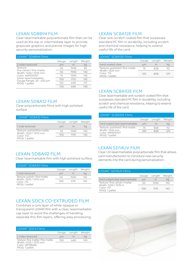## LEXAN SD8B94 FILM

Clear lasermarkable polycarbonate film that can be used as the top or intermediate layer to provide grayscale graphics and precise images for high security personalization.

#### LEXAN™ SD8B94 Films

|                                                                                                                                                        | Gauge | Length | Weight |
|--------------------------------------------------------------------------------------------------------------------------------------------------------|-------|--------|--------|
| 2 sides textured                                                                                                                                       | um    | m      | ka     |
| Texture:<br>fine velvet / fine matte<br>Width: 1220 / 1270 mm<br>Color: NA9D070T<br>(clear lasermarkable)<br>Gauge Range: 30 - 620 µm<br>MOQ: 1 pallet | 30    | 1940   | 85     |
|                                                                                                                                                        | 50    | 1940   | 142    |
|                                                                                                                                                        | 75    | 1290   | 142    |
|                                                                                                                                                        | 100   | 970    | 142    |
|                                                                                                                                                        | 125   | 640    | 117    |
|                                                                                                                                                        | 150   |        | 140    |

## LEXAN SD8A12 FILM

Clear polycarbonate films with high polished surface

| LEXAN <sup>™</sup> SD8A12 Films                                                    |       |               |     |
|------------------------------------------------------------------------------------|-------|---------------|-----|
|                                                                                    | Gauge | Length Weight |     |
| 1 side textured                                                                    | um    | m             | ka  |
| Texture: polish/fine matte<br>Width: 1220 / 1270 mm<br>Color: 112<br>MOQ: 1 pallet | 50    | 1940          | 142 |
|                                                                                    | 100   | 970           | 142 |

# LEXAN SD8A92 FILM

Clear lasermarkable film with high polished surface.

| LEXAN™ SD8A92 Films                                                 |       |        |        |
|---------------------------------------------------------------------|-------|--------|--------|
|                                                                     | Gauge | Length | Weight |
| 1 side textured                                                     | um    | m      | kq     |
| Texture: polish / fine matte<br>Width: 1220 / 1270 mm<br>Color: 112 | 50    | 1940   | 142    |
|                                                                     | 100   | 9(1)   | 142    |
| MOQ: 1 pallet                                                       |       |        |        |

# LEXAN SDCX CO-EXTRUDED FILM

Combines a core layer of white opaque or transparent LEXAN film with a clear, lasermarkable cap layer to avoid the challenges of handling separate thin film layers, offering easy processing.

| LEXAN™ SDCX Films                                                                            |       |        |        |
|----------------------------------------------------------------------------------------------|-------|--------|--------|
|                                                                                              | Gauge | Length | Weight |
| 2 sides textured                                                                             | иm    | m      | ka     |
| Texture: fine matte / fine matte<br>Width: 1220 / 1270 mm<br>Color: WH9B246<br>MOQ: 1 pallet | 150   | 640    | 149    |

## LEXAN SC8A12E FILM

Clear anti-scratch coated film that surpasses standard PC film in durability, including scratch and chemical resistance, helping to extend useful life of the card.

| LEXAN™ SC8A12E Films                             |       |        |        |
|--------------------------------------------------|-------|--------|--------|
|                                                  | Gauge | Length | Weight |
| hard-coated clear                                | um    |        | ka     |
| Texture: polished / fine matte<br>Width: 1220 mm | 75    | 838    | 92     |
| Color: 112<br>MOQ: 1 pallet                      | 105   | 838    | 129    |

### LEXAN SC8A92E FILM

Clear lasermarkable anti-scratch coated film that surpasses standard PC film in durability, including scratch and chemical resistance, helping to extend useful life of the card.

| LEXAN™ SC8A92E Films                                                |       |        |        |
|---------------------------------------------------------------------|-------|--------|--------|
|                                                                     | Gauge | Length | Weight |
| hard coated clear lasermarkable                                     | um    | m      | kq     |
| Texture: polished / fine matte<br>Width: 1220 mm<br>Color: NA9D070T | 75    | 838    | 92     |
|                                                                     | 105   | 838    | 129    |
| MOQ: 1 pallet                                                       |       |        |        |

# LEXAN SD14UV FILM

Clear UV-lasermarkable polycarbonate film that allows card manufacturers to introduce new security elements into the card during personalization.

| LEXAN™ SD14UV Films                                                                 |       |        |        |
|-------------------------------------------------------------------------------------|-------|--------|--------|
|                                                                                     | Gauge | Length | Weight |
| hard coated clear lasermarkable                                                     | um    | m      | ka     |
| Texture: fine velvet / matte<br>Width: 1220 / 1270 m<br>Color: 112<br>MOQ: 1 pallet | 50    | 1940   | 142    |
|                                                                                     | 100   | 970    | 142    |

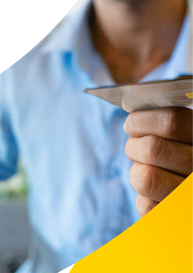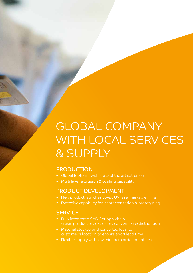# GLOBAL COMPANY WITH LOCAL SERVICES & SUPPLY

# PRODUCTION

- Global footprint with state of the art extrusion
- Multi layer extrusion & coating capability

# PRODUCT DEVELOPMENT

- New product launches co-ex, UV lasermarkable films
- Extensive capability for characterization & prototyping

# **SERVICE**

- Fully integrated SABIC supply chain - resin production, extrusion, conversion & distribution
- Material stocked and converted local to customer's location to ensure short lead time
- Flexible supply with low minimum order quantities